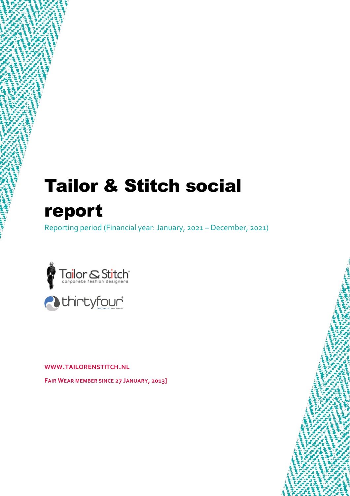# Tailor & Stitch social report

Reporting period (Financial year: January, 2021 – December, 2021)



**WWW.TAILORENSTITCH.NL**

**FAIR WEAR MEMBER SINCE 27 JANUARY, 2013]**

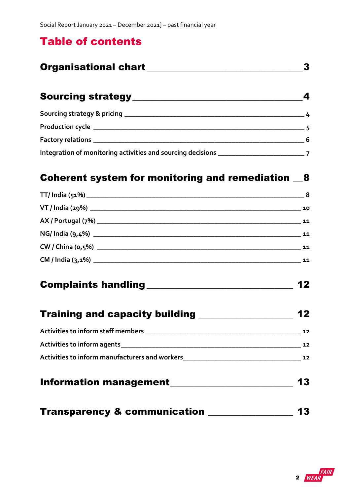### Table of contents

| <b>Organisational chart</b> |  |
|-----------------------------|--|
|                             |  |

| <b>Sourcing strategy</b>                                                   |    |
|----------------------------------------------------------------------------|----|
|                                                                            |    |
| Production cycle __________________                                        |    |
| Factory relations _________                                                | -6 |
| Integration of monitoring activities and sourcing decisions ______________ |    |

#### [Coherent system for monitoring and remediation](#page-7-0)  $\_\,$ 8

| 8  |
|----|
| 10 |
| 11 |
| 11 |
| 11 |
| 11 |
|    |

# [Complaints handling\\_\\_\\_\\_\\_\\_\\_\\_\\_\\_\\_\\_\\_\\_\\_\\_\\_\\_\\_\\_\\_\\_\\_\\_\\_\\_\\_\\_\\_\\_\\_](#page-11-0) 12

| <b>Training and capacity building</b> |  | 12 |
|---------------------------------------|--|----|
|---------------------------------------|--|----|

| Activities to inform staff members                                                                              | 12 |
|-----------------------------------------------------------------------------------------------------------------|----|
| Activities to inform agents example and a series of the series of the series of the series of the series of the | 12 |
| Activities to inform manufacturers and workers                                                                  | 12 |
|                                                                                                                 |    |

### [Information management\\_\\_\\_\\_\\_\\_\\_\\_\\_\\_\\_\\_\\_\\_\\_\\_\\_\\_\\_\\_\\_\\_\\_\\_\\_\\_](#page-12-0) 13

|  | <b>Transparency &amp; communication</b> | 13 |  |
|--|-----------------------------------------|----|--|
|--|-----------------------------------------|----|--|

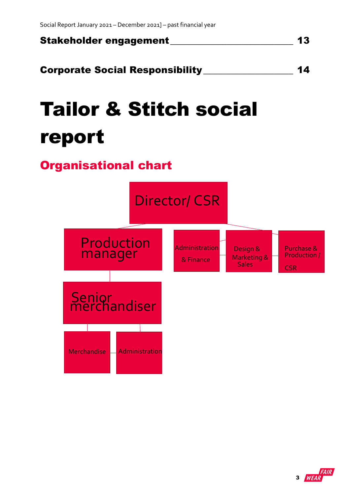

[Corporate Social Responsibility\\_\\_\\_\\_\\_\\_\\_\\_\\_\\_\\_\\_\\_\\_\\_\\_\\_\\_\\_](#page-13-0) 14

# Tailor & Stitch social report

## <span id="page-2-0"></span>Organisational chart



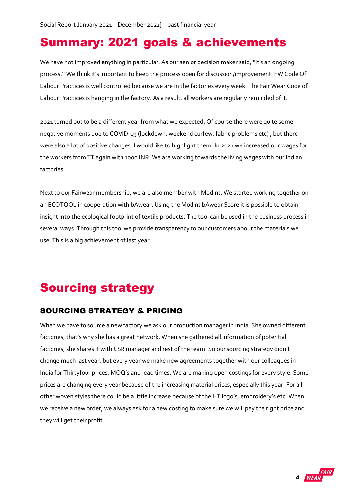## Summary: 2021 goals & achievements

We have not improved anything in particular. As our senior decision maker said, ''It's an ongoing process.'' We think it's important to keep the process open for discussion/improvement. FW Code Of Labour Practices is well controlled because we are in the factories every week. The Fair Wear Code of Labour Practices is hanging in the factory. As a result, all workers are regularly reminded of it.

2021 turned out to be a different year from what we expected. Of course there were quite some negative moments due to COVID-19 (lockdown, weekend curfew, fabric problems etc) , but there were also a lot of positive changes. I would like to highlight them. In 2021 we increased our wages for the workers from TT again with 1000 INR. We are working towards the living wages with our Indian factories.

Next to our Fairwear membership, we are also member with Modint. We started working together on an ECOTOOL in cooperation with bAwear. Using the Modint bAwear Score it is possible to obtain insight into the ecological footprint of textile products. The tool can be used in the business process in several ways. Through this tool we provide transparency to our customers about the materials we use. This is a big achievement of last year.

# <span id="page-3-0"></span>Sourcing strategy

#### <span id="page-3-1"></span>SOURCING STRATEGY & PRICING

When we have to source a new factory we ask our production manager in India. She owned different factories, that's why she has a great network. When she gathered all information of potential factories, she shares it with CSR manager and rest of the team. So our sourcing strategy didn't change much last year, but every year we make new agreements together with our colleagues in India for Thirtyfour prices, MOQ's and lead times. We are making open costings for every style. Some prices are changing every year because of the increasing material prices, especially this year. For all other woven styles there could be a little increase because of the HT logo's, embroidery's etc. When we receive a new order, we always ask for a new costing to make sure we will pay the right price and they will get their profit.

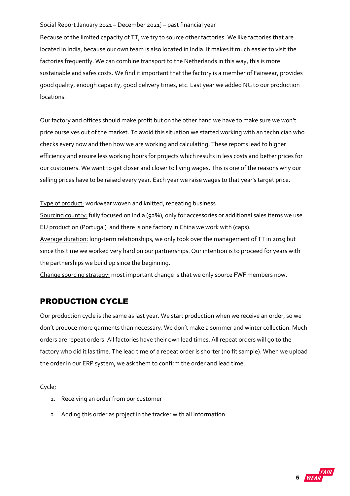Because of the limited capacity of TT, we try to source other factories. We like factories that are located in India, because our own team is also located in India. It makes it much easier to visit the factories frequently. We can combine transport to the Netherlands in this way, this is more sustainable and safes costs. We find it important that the factory is a member of Fairwear, provides good quality, enough capacity, good delivery times, etc. Last year we added NG to our production locations.

Our factory and offices should make profit but on the other hand we have to make sure we won't price ourselves out of the market. To avoid this situation we started working with an technician who checks every now and then how we are working and calculating. These reports lead to higher efficiency and ensure less working hours for projects which results in less costs and better prices for our customers. We want to get closer and closer to living wages. This is one of the reasons why our selling prices have to be raised every year. Each year we raise wages to that year's target price.

Type of product: workwear woven and knitted, repeating business

Sourcing country: fully focused on India (92%), only for accessories or additional sales items we use EU production (Portugal) and there is one factory in China we work with (caps).

Average duration: long-term relationships, we only took over the management of TT in 2019 but since this time we worked very hard on our partnerships. Our intention is to proceed for years with the partnerships we build up since the beginning.

Change sourcing strategy: most important change is that we only source FWF members now.

#### <span id="page-4-0"></span>PRODUCTION CYCLE

Our production cycle is the same as last year. We start production when we receive an order, so we don't produce more garments than necessary. We don't make a summer and winter collection. Much orders are repeat orders. All factories have their own lead times. All repeat orders will go to the factory who did it las time. The lead time of a repeat order is shorter (no fit sample). When we upload the order in our ERP system, we ask them to confirm the order and lead time.

Cycle;

- 1. Receiving an order from our customer
- 2. Adding this order as project in the tracker with all information

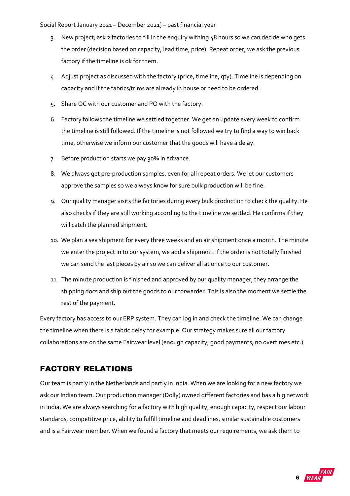- 3. New project; ask 2 factories to fill in the enquiry withing 48 hours so we can decide who gets the order (decision based on capacity, lead time, price). Repeat order; we ask the previous factory if the timeline is ok for them.
- 4. Adjust project as discussed with the factory (price, timeline, qty). Timeline is depending on capacity and if the fabrics/trims are already in house or need to be ordered.
- 5. Share OC with our customer and PO with the factory.
- 6. Factory follows the timeline we settled together. We get an update every week to confirm the timeline is still followed. If the timeline is not followed we try to find a way to win back time, otherwise we inform our customer that the goods will have a delay.
- 7. Before production starts we pay 30% in advance.
- 8. We always get pre-production samples, even for all repeat orders. We let our customers approve the samples so we always know for sure bulk production will be fine.
- 9. Our quality manager visits the factories during every bulk production to check the quality. He also checks if they are still working according to the timeline we settled. He confirms if they will catch the planned shipment.
- 10. We plan a sea shipment for every three weeks and an air shipment once a month. The minute we enter the project in to our system, we add a shipment. If the order is not totally finished we can send the last pieces by air so we can deliver all at once to our customer.
- 11. The minute production is finished and approved by our quality manager, they arrange the shipping docs and ship out the goods to our forwarder. This is also the moment we settle the rest of the payment.

Every factory has access to our ERP system. They can log in and check the timeline. We can change the timeline when there is a fabric delay for example. Our strategy makes sure all our factory collaborations are on the same Fairwear level (enough capacity, good payments, no overtimes etc.)

#### <span id="page-5-0"></span>FACTORY RELATIONS

Our team is partly in the Netherlands and partly in India. When we are looking for a new factory we ask our Indian team. Our production manager (Dolly) owned different factories and has a big network in India. We are always searching for a factory with high quality, enough capacity, respect our labour standards, competitive price, ability to fulfill timeline and deadlines, similar sustainable customers and is a Fairwear member. When we found a factory that meets our requirements, we ask them to

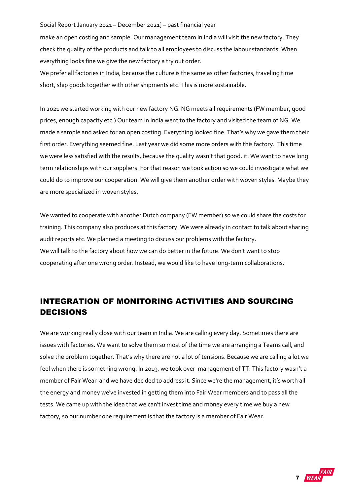make an open costing and sample. Our management team in India will visit the new factory. They check the quality of the products and talk to all employees to discuss the labour standards. When everything looks fine we give the new factory a try out order.

We prefer all factories in India, because the culture is the same as other factories, traveling time short, ship goods together with other shipments etc. This is more sustainable.

In 2021 we started working with our new factory NG. NG meets all requirements (FW member, good prices, enough capacity etc.) Our team in India went to the factory and visited the team of NG. We made a sample and asked for an open costing. Everything looked fine. That's why we gave them their first order. Everything seemed fine. Last year we did some more orders with this factory. This time we were less satisfied with the results, because the quality wasn't that good. it. We want to have long term relationships with our suppliers. For that reason we took action so we could investigate what we could do to improve our cooperation. We will give them another order with woven styles. Maybe they are more specialized in woven styles.

We wanted to cooperate with another Dutch company (FW member) so we could share the costs for training. This company also produces at this factory. We were already in contact to talk about sharing audit reports etc. We planned a meeting to discuss our problems with the factory. We will talk to the factory about how we can do better in the future. We don't want to stop cooperating after one wrong order. Instead, we would like to have long-term collaborations.

#### <span id="page-6-0"></span>INTEGRATION OF MONITORING ACTIVITIES AND SOURCING DECISIONS

We are working really close with our team in India. We are calling every day. Sometimes there are issues with factories. We want to solve them so most of the time we are arranging a Teams call, and solve the problem together. That's why there are not a lot of tensions. Because we are calling a lot we feel when there is something wrong. In 2019, we took over management of TT. This factory wasn't a member of Fair Wear and we have decided to address it. Since we're the management, it's worth all the energy and money we've invested in getting them into Fair Wear members and to pass all the tests. We came up with the idea that we can't invest time and money every time we buy a new factory, so our number one requirement is that the factory is a member of Fair Wear.

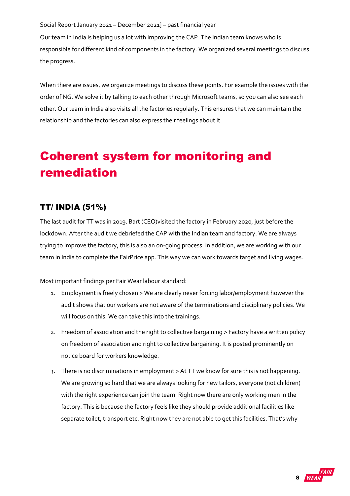Our team in India is helping us a lot with improving the CAP. The Indian team knows who is responsible for different kind of components in the factory. We organized several meetings to discuss the progress.

When there are issues, we organize meetings to discuss these points. For example the issues with the order of NG. We solve it by talking to each other through Microsoft teams, so you can also see each other. Our team in India also visits all the factories regularly. This ensures that we can maintain the relationship and the factories can also express their feelings about it

# <span id="page-7-0"></span>Coherent system for monitoring and remediation

#### <span id="page-7-1"></span>TT/ INDIA (51%)

The last audit for TT was in 2019. Bart (CEO)visited the factory in February 2020, just before the lockdown. After the audit we debriefed the CAP with the Indian team and factory. We are always trying to improve the factory, this is also an on-going process. In addition, we are working with our team in India to complete the FairPrice app. This way we can work towards target and living wages.

Most important findings per Fair Wear labour standard:

- 1. Employment is freely chosen > We are clearly never forcing labor/employment however the audit shows that our workers are not aware of the terminations and disciplinary policies. We will focus on this. We can take this into the trainings.
- 2. Freedom of association and the right to collective bargaining > Factory have a written policy on freedom of association and right to collective bargaining. It is posted prominently on notice board for workers knowledge.
- 3. There is no discriminations in employment > At TT we know for sure this is not happening. We are growing so hard that we are always looking for new tailors, everyone (not children) with the right experience can join the team. Right now there are only working men in the factory. This is because the factory feels like they should provide additional facilities like separate toilet, transport etc. Right now they are not able to get this facilities. That's why

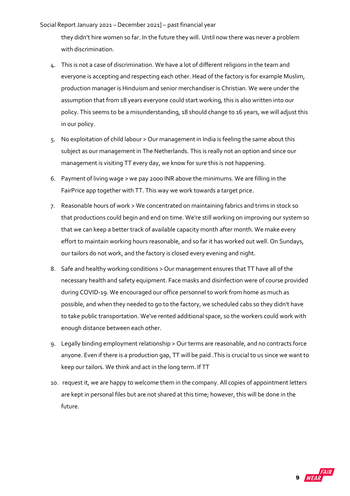they didn't hire women so far. In the future they will. Until now there was never a problem with discrimination.

- 4. This is not a case of discrimination. We have a lot of different religions in the team and everyone is accepting and respecting each other. Head of the factory is for example Muslim, production manager is Hinduism and senior merchandiser is Christian. We were under the assumption that from 18 years everyone could start working, this is also written into our policy. This seems to be a misunderstanding, 18 should change to 16 years, we will adjust this in our policy.
- 5. No exploitation of child labour > Our management in India is feeling the same about this subject as our management in The Netherlands. This is really not an option and since our management is visiting TT every day, we know for sure this is not happening.
- 6. Payment of living wage > we pay 2000 INR above the minimums. We are filling in the FairPrice app together with TT. This way we work towards a target price.
- 7. Reasonable hours of work > We concentrated on maintaining fabrics and trims in stock so that productions could begin and end on time. We're still working on improving our system so that we can keep a better track of available capacity month after month. We make every effort to maintain working hours reasonable, and so far it has worked out well. On Sundays, our tailors do not work, and the factory is closed every evening and night.
- 8. Safe and healthy working conditions > Our management ensures that TT have all of the necessary health and safety equipment. Face masks and disinfection were of course provided during COVID-19. We encouraged our office personnel to work from home as much as possible, and when they needed to go to the factory, we scheduled cabs so they didn't have to take public transportation. We've rented additional space, so the workers could work with enough distance between each other.
- 9. Legally binding employment relationship > Our terms are reasonable, and no contracts force anyone. Even if there is a production gap, TT will be paid .This is crucial to us since we want to keep our tailors. We think and act in the long term. If TT
- 10. request it, we are happy to welcome them in the company. All copies of appointment letters are kept in personal files but are not shared at this time; however, this will be done in the future.

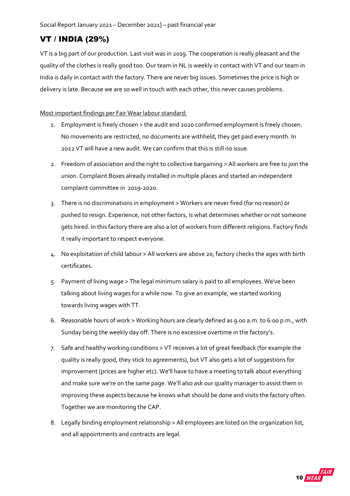#### <span id="page-9-0"></span>VT / INDIA (29%)

VT is a big part of our production. Last visit was in 2019. The cooperation is really pleasant and the quality of the clothes is really good too. Our team in NL is weekly in contact with VT and our team in India is daily in contact with the factory. There are never big issues. Sometimes the price is high or delivery is late. Because we are so well in touch with each other, this never causes problems.

Most important findings per Fair Wear labour standard:

- 1. Employment is freely chosen > the audit end 2020 confirmed employment is freely chosen. No movements are restricted, no documents are withheld, they get paid every month. In 2022 VT will have a new audit. We can confirm that this is still no issue.
- 2. Freedom of association and the right to collective bargaining > All workers are free to join the union. Complaint Boxes already installed in multiple places and started an independent complaint committee in 2019-2020.
- 3. There is no discriminations in employment > Workers are never fired (for no reason) or pushed to resign. Experience, not other factors, is what determines whether or not someone gets hired. In this factory there are also a lot of workers from different religions. Factory finds it really important to respect everyone.
- 4. No exploitation of child labour > All workers are above 20, factory checks the ages with birth certificates.
- 5. Payment of living wage > The legal minimum salary is paid to all employees. We've been talking about living wages for a while now. To give an example, we started working towards living wages with TT.
- 6. Reasonable hours of work > Working hours are clearly defined as 9.00 a.m. to 6:00 p.m., with Sunday being the weekly day off. There is no excessive overtime in the factory's.
- 7. Safe and healthy working conditions > VT receives a lot of great feedback (for example the quality is really good, they stick to agreements), but VT also gets a lot of suggestions for improvement (prices are higher etc). We'll have to have a meeting to talk about everything and make sure we're on the same page. We'll also ask our quality manager to assist them in improving these aspects because he knows what should be done and visits the factory often. Together we are monitoring the CAP.
- 8. Legally binding employment relationship > All employees are listed on the organization list, and all appointments and contracts are legal.

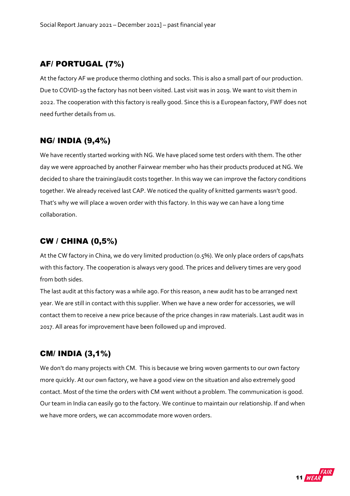#### <span id="page-10-0"></span>AF/ PORTUGAL (7%)

At the factory AF we produce thermo clothing and socks. This is also a small part of our production. Due to COVID-19 the factory has not been visited. Last visit was in 2019. We want to visit them in 2022. The cooperation with this factory is really good. Since this is a European factory, FWF does not need further details from us.

#### <span id="page-10-1"></span>NG/ INDIA (9,4%)

We have recently started working with NG. We have placed some test orders with them. The other day we were approached by another Fairwear member who has their products produced at NG. We decided to share the training/audit costs together. In this way we can improve the factory conditions together. We already received last CAP. We noticed the quality of knitted garments wasn't good. That's why we will place a woven order with this factory. In this way we can have a long time collaboration.

#### <span id="page-10-2"></span>CW / CHINA (0,5%)

At the CW factory in China, we do very limited production (0.5%). We only place orders of caps/hats with this factory. The cooperation is always very good. The prices and delivery times are very good from both sides.

The last audit at this factory was a while ago. For this reason, a new audit has to be arranged next year. We are still in contact with this supplier. When we have a new order for accessories, we will contact them to receive a new price because of the price changes in raw materials. Last audit was in 2017. All areas for improvement have been followed up and improved.

#### <span id="page-10-3"></span>CM/ INDIA (3,1%)

We don't do many projects with CM. This is because we bring woven garments to our own factory more quickly. At our own factory, we have a good view on the situation and also extremely good contact. Most of the time the orders with CM went without a problem. The communication is good. Our team in India can easily go to the factory. We continue to maintain our relationship. If and when we have more orders, we can accommodate more woven orders.

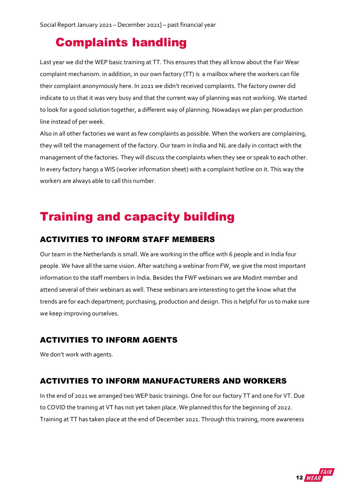## <span id="page-11-0"></span>Complaints handling

Last year we did the WEP basic training at TT. This ensures that they all know about the Fair Wear complaint mechanism. in addition, in our own factory (TT) is a mailbox where the workers can file their complaint anonymously here. In 2021 we didn't received complaints. The factory owner did indicate to us that it was very busy and that the current way of planning was not working. We started to look for a good solution together, a different way of planning. Nowadays we plan per production line instead of per week.

Also in all other factories we want as few complaints as possible. When the workers are complaining, they will tell the management of the factory. Our team in India and NL are daily in contact with the management of the factories. They will discuss the complaints when they see or speak to each other. In every factory hangs a WIS (worker information sheet) with a complaint hotline on it. This way the workers are always able to call this number.

## <span id="page-11-1"></span>Training and capacity building

#### <span id="page-11-2"></span>ACTIVITIES TO INFORM STAFF MEMBERS

Our team in the Netherlands is small. We are working in the office with 6 people and in India four people. We have all the same vision. After watching a webinar from FW, we give the most important information to the staff members in India. Besides the FWF webinars we are Modint member and attend several of their webinars as well. These webinars are interesting to get the know what the trends are for each department; purchasing, production and design. This is helpful for us to make sure we keep improving ourselves.

#### <span id="page-11-3"></span>ACTIVITIES TO INFORM AGENTS

We don't work with agents.

#### <span id="page-11-4"></span>ACTIVITIES TO INFORM MANUFACTURERS AND WORKERS

In the end of 2021 we arranged two WEP basic trainings. One for our factory TT and one for VT. Due to COVID the training at VT has not yet taken place. We planned this for the beginning of 2022. Training at TT has taken place at the end of December 2021. Through this training, more awareness

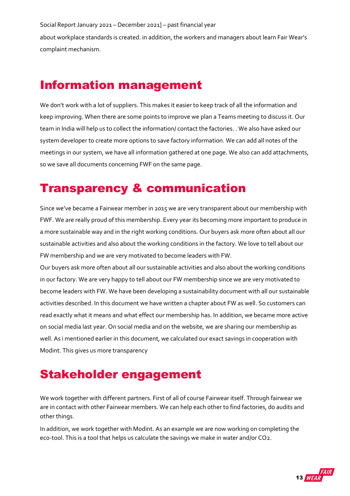about workplace standards is created. in addition, the workers and managers about learn Fair Wear's complaint mechanism.

## <span id="page-12-0"></span>Information management

We don't work with a lot of suppliers. This makes it easier to keep track of all the information and keep improving. When there are some points to improve we plan a Teams meeting to discuss it. Our team in India will help us to collect the information/ contact the factories. . We also have asked our system developer to create more options to save factory information. We can add all notes of the meetings in our system, we have all information gathered at one page. We also can add attachments, so we save all documents concerning FWF on the same page.

## <span id="page-12-1"></span>Transparency & communication

Since we've became a Fairwear member in 2015 we are very transparent about our membership with FWF. We are really proud of this membership. Every year its becoming more important to produce in a more sustainable way and in the right working conditions. Our buyers ask more often about all our sustainable activities and also about the working conditions in the factory. We love to tell about our FW membership and we are very motivated to become leaders with FW.

Our buyers ask more often about all our sustainable activities and also about the working conditions in our factory. We are very happy to tell about our FW membership since we are very motivated to become leaders with FW. We have been developing a sustainability document with all our sustainable activities described. In this document we have written a chapter about FW as well. So customers can read exactly what it means and what effect our membership has. In addition, we became more active on social media last year. On social media and on the website, we are sharing our membership as well. As i mentioned earlier in this document, we calculated our exact savings in cooperation with Modint. This gives us more transparency

## <span id="page-12-2"></span>Stakeholder engagement

We work together with different partners. First of all of course Fairwear itself. Through fairwear we are in contact with other Fairwear members. We can help each other to find factories, do audits and other things.

In addition, we work together with Modint. As an example we are now working on completing the eco-tool. This is a tool that helps us calculate the savings we make in water and/or CO2.